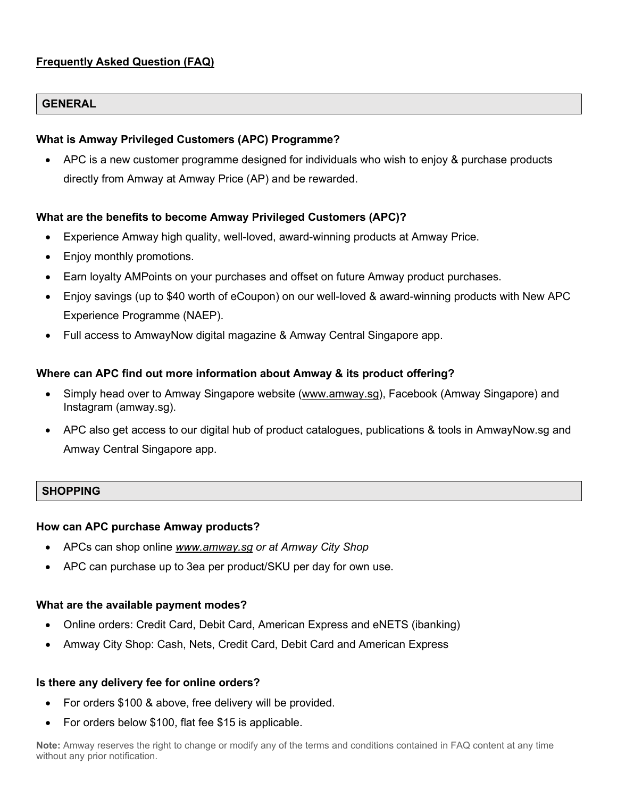# **Frequently Asked Question (FAQ)**

### **GENERAL**

#### **What is Amway Privileged Customers (APC) Programme?**

• APC is a new customer programme designed for individuals who wish to enjoy & purchase products directly from Amway at Amway Price (AP) and be rewarded.

#### **What are the benefits to become Amway Privileged Customers (APC)?**

- Experience Amway high quality, well-loved, award-winning products at Amway Price.
- Enjoy monthly promotions.
- Earn loyalty AMPoints on your purchases and offset on future Amway product purchases.
- Enjoy savings (up to \$40 worth of eCoupon) on our well-loved & award-winning products with New APC Experience Programme (NAEP).
- Full access to AmwayNow digital magazine & Amway Central Singapore app.

#### **Where can APC find out more information about Amway & its product offering?**

- Simply head over to Amway Singapore website [\(www.amway.sg\)](http://www.amway.sg/), Facebook (Amway Singapore) and Instagram (amway.sg).
- APC also get access to our digital hub of product catalogues, publications & tools in AmwayNow.sg and Amway Central Singapore app.

# **SHOPPING**

#### **How can APC purchase Amway products?**

- APCs can shop online *[www.amway.sg](http://www.amway.sg/) or at Amway City Shop*
- APC can purchase up to 3ea per product/SKU per day for own use.

#### **What are the available payment modes?**

- Online orders: Credit Card, Debit Card, American Express and eNETS (ibanking)
- Amway City Shop: Cash, Nets, Credit Card, Debit Card and American Express

#### **Is there any delivery fee for online orders?**

- For orders \$100 & above, free delivery will be provided.
- For orders below \$100, flat fee \$15 is applicable.

**Note:** Amway reserves the right to change or modify any of the terms and conditions contained in FAQ content at any time without any prior notification.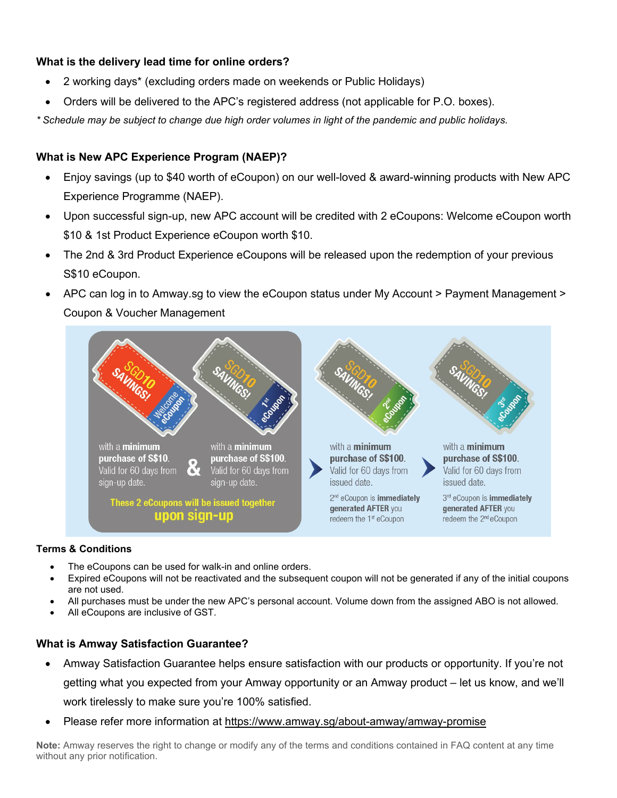# **What is the delivery lead time for online orders?**

- 2 working days\* (excluding orders made on weekends or Public Holidays)
- Orders will be delivered to the APC's registered address (not applicable for P.O. boxes).

*\* Schedule may be subject to change due high order volumes in light of the pandemic and public holidays.*

# **What is New APC Experience Program (NAEP)?**

- Enjoy savings (up to \$40 worth of eCoupon) on our well-loved & award-winning products with New APC Experience Programme (NAEP).
- Upon successful sign-up, new APC account will be credited with 2 eCoupons: Welcome eCoupon worth \$10 & 1st Product Experience eCoupon worth \$10.
- The 2nd & 3rd Product Experience eCoupons will be released upon the redemption of your previous S\$10 eCoupon.
- APC can log in to Amway.sg to view the eCoupon status under My Account > Payment Management > Coupon & Voucher Management



#### **Terms & Conditions**

- The eCoupons can be used for walk-in and online orders.
- Expired eCoupons will not be reactivated and the subsequent coupon will not be generated if any of the initial coupons are not used.
- All purchases must be under the new APC's personal account. Volume down from the assigned ABO is not allowed.
- All eCoupons are inclusive of GST.

# **What is Amway Satisfaction Guarantee?**

- Amway Satisfaction Guarantee helps ensure satisfaction with our products or opportunity. If you're not getting what you expected from your Amway opportunity or an Amway product – let us know, and we'll work tirelessly to make sure you're 100% satisfied.
- Please refer more information at<https://www.amway.sg/about-amway/amway-promise>

**Note:** Amway reserves the right to change or modify any of the terms and conditions contained in FAQ content at any time without any prior notification.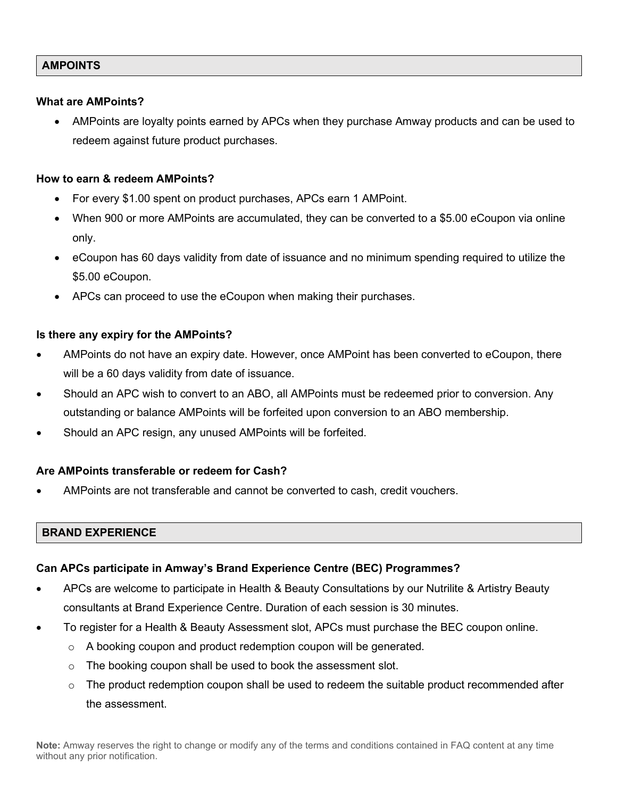# **AMPOINTS**

#### **What are AMPoints?**

• AMPoints are loyalty points earned by APCs when they purchase Amway products and can be used to redeem against future product purchases.

### **How to earn & redeem AMPoints?**

- For every \$1.00 spent on product purchases, APCs earn 1 AMPoint.
- When 900 or more AMPoints are accumulated, they can be converted to a \$5.00 eCoupon via online only.
- eCoupon has 60 days validity from date of issuance and no minimum spending required to utilize the \$5.00 eCoupon.
- APCs can proceed to use the eCoupon when making their purchases.

# **Is there any expiry for the AMPoints?**

- AMPoints do not have an expiry date. However, once AMPoint has been converted to eCoupon, there will be a 60 days validity from date of issuance.
- Should an APC wish to convert to an ABO, all AMPoints must be redeemed prior to conversion. Any outstanding or balance AMPoints will be forfeited upon conversion to an ABO membership.
- Should an APC resign, any unused AMPoints will be forfeited.

# **Are AMPoints transferable or redeem for Cash?**

• AMPoints are not transferable and cannot be converted to cash, credit vouchers.

# **BRAND EXPERIENCE**

# **Can APCs participate in Amway's Brand Experience Centre (BEC) Programmes?**

- APCs are welcome to participate in Health & Beauty Consultations by our Nutrilite & Artistry Beauty consultants at Brand Experience Centre. Duration of each session is 30 minutes.
- To register for a Health & Beauty Assessment slot, APCs must purchase the BEC coupon online.
	- $\circ$  A booking coupon and product redemption coupon will be generated.
	- o The booking coupon shall be used to book the assessment slot.
	- $\circ$  The product redemption coupon shall be used to redeem the suitable product recommended after the assessment.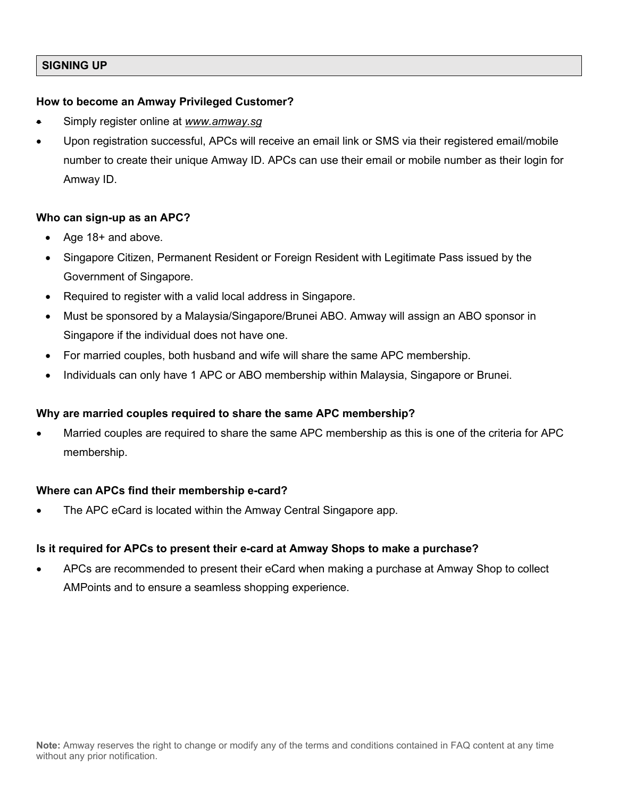# **SIGNING UP**

# **How to become an Amway Privileged Customer?**

- Simply register online at *[www.amway.sg](http://www.amway.sg/)*
- Upon registration successful, APCs will receive an email link or SMS via their registered email/mobile number to create their unique Amway ID. APCs can use their email or mobile number as their login for Amway ID.

#### **Who can sign-up as an APC?**

- Age 18+ and above.
- Singapore Citizen, Permanent Resident or Foreign Resident with Legitimate Pass issued by the Government of Singapore.
- Required to register with a valid local address in Singapore.
- Must be sponsored by a Malaysia/Singapore/Brunei ABO. Amway will assign an ABO sponsor in Singapore if the individual does not have one.
- For married couples, both husband and wife will share the same APC membership.
- Individuals can only have 1 APC or ABO membership within Malaysia, Singapore or Brunei.

# **Why are married couples required to share the same APC membership?**

• Married couples are required to share the same APC membership as this is one of the criteria for APC membership.

# **Where can APCs find their membership e-card?**

• The APC eCard is located within the Amway Central Singapore app.

# **Is it required for APCs to present their e-card at Amway Shops to make a purchase?**

• APCs are recommended to present their eCard when making a purchase at Amway Shop to collect AMPoints and to ensure a seamless shopping experience.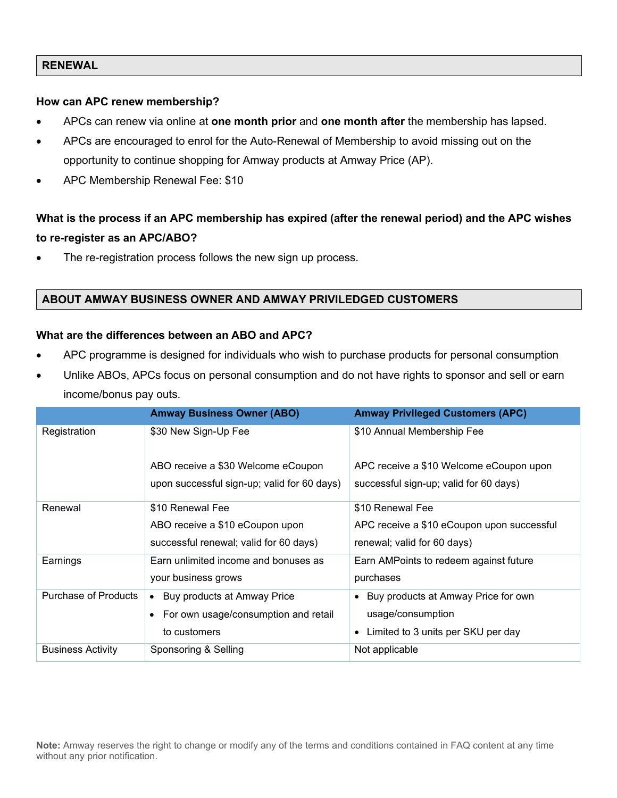# **RENEWAL**

### **How can APC renew membership?**

- APCs can renew via online at **one month prior** and **one month after** the membership has lapsed.
- APCs are encouraged to enrol for the Auto-Renewal of Membership to avoid missing out on the opportunity to continue shopping for Amway products at Amway Price (AP).
- APC Membership Renewal Fee: \$10

# **What is the process if an APC membership has expired (after the renewal period) and the APC wishes to re-register as an APC/ABO?**

The re-registration process follows the new sign up process.

# **ABOUT AMWAY BUSINESS OWNER AND AMWAY PRIVILEDGED CUSTOMERS**

#### **What are the differences between an ABO and APC?**

- APC programme is designed for individuals who wish to purchase products for personal consumption
- Unlike ABOs, APCs focus on personal consumption and do not have rights to sponsor and sell or earn income/bonus pay outs.

|                             | <b>Amway Business Owner (ABO)</b>           | <b>Amway Privileged Customers (APC)</b>    |
|-----------------------------|---------------------------------------------|--------------------------------------------|
| Registration                | \$30 New Sign-Up Fee                        | \$10 Annual Membership Fee                 |
|                             | ABO receive a \$30 Welcome eCoupon          | APC receive a \$10 Welcome eCoupon upon    |
|                             | upon successful sign-up; valid for 60 days) | successful sign-up; valid for 60 days)     |
| Renewal                     | \$10 Renewal Fee                            | \$10 Renewal Fee                           |
|                             | ABO receive a \$10 eCoupon upon             | APC receive a \$10 eCoupon upon successful |
|                             | successful renewal; valid for 60 days)      | renewal; valid for 60 days)                |
| Earnings                    | Earn unlimited income and bonuses as        | Earn AMPoints to redeem against future     |
|                             | your business grows                         | purchases                                  |
| <b>Purchase of Products</b> | Buy products at Amway Price<br>$\bullet$    | • Buy products at Amway Price for own      |
|                             | • For own usage/consumption and retail      | usage/consumption                          |
|                             | to customers                                | Limited to 3 units per SKU per day         |
| <b>Business Activity</b>    | Sponsoring & Selling                        | Not applicable                             |